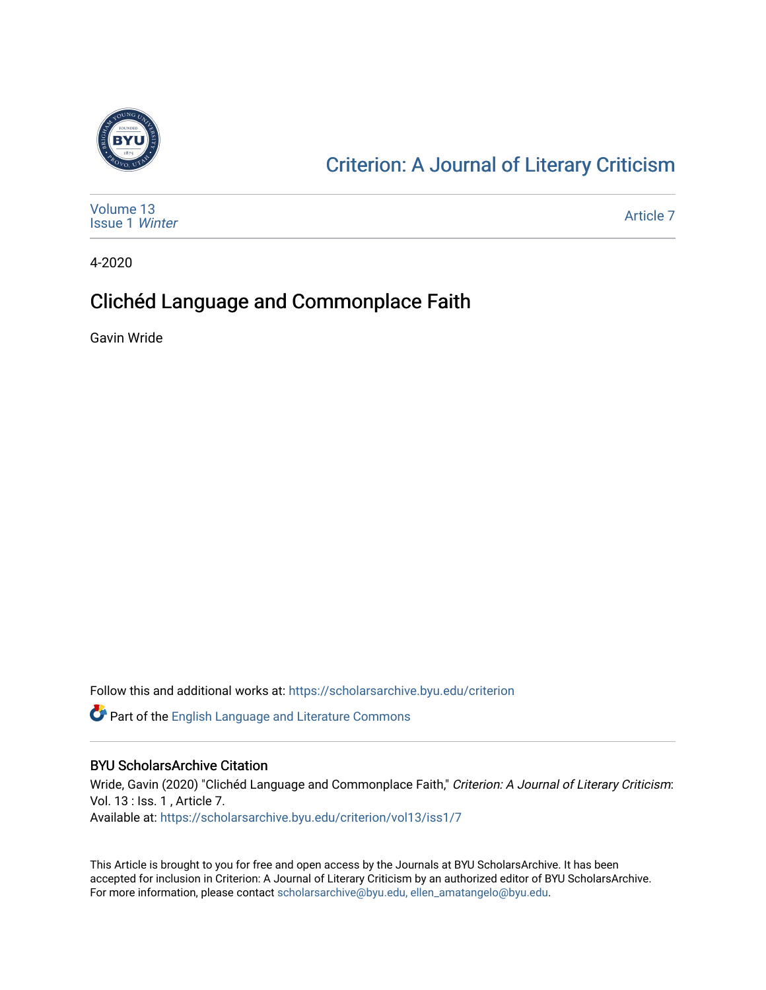

## [Criterion: A Journal of Literary Criticism](https://scholarsarchive.byu.edu/criterion)

| Volume 13<br><b>Issue 1 Winter</b> | Article 7 |
|------------------------------------|-----------|
|------------------------------------|-----------|

4-2020

### Clichéd Language and Commonplace Faith

Gavin Wride

Follow this and additional works at: [https://scholarsarchive.byu.edu/criterion](https://scholarsarchive.byu.edu/criterion?utm_source=scholarsarchive.byu.edu%2Fcriterion%2Fvol13%2Fiss1%2F7&utm_medium=PDF&utm_campaign=PDFCoverPages) 

**P** Part of the [English Language and Literature Commons](http://network.bepress.com/hgg/discipline/455?utm_source=scholarsarchive.byu.edu%2Fcriterion%2Fvol13%2Fiss1%2F7&utm_medium=PDF&utm_campaign=PDFCoverPages)

### BYU ScholarsArchive Citation

Wride, Gavin (2020) "Clichéd Language and Commonplace Faith," Criterion: A Journal of Literary Criticism: Vol. 13 : Iss. 1 , Article 7. Available at: [https://scholarsarchive.byu.edu/criterion/vol13/iss1/7](https://scholarsarchive.byu.edu/criterion/vol13/iss1/7?utm_source=scholarsarchive.byu.edu%2Fcriterion%2Fvol13%2Fiss1%2F7&utm_medium=PDF&utm_campaign=PDFCoverPages)

This Article is brought to you for free and open access by the Journals at BYU ScholarsArchive. It has been accepted for inclusion in Criterion: A Journal of Literary Criticism by an authorized editor of BYU ScholarsArchive. For more information, please contact [scholarsarchive@byu.edu, ellen\\_amatangelo@byu.edu](mailto:scholarsarchive@byu.edu,%20ellen_amatangelo@byu.edu).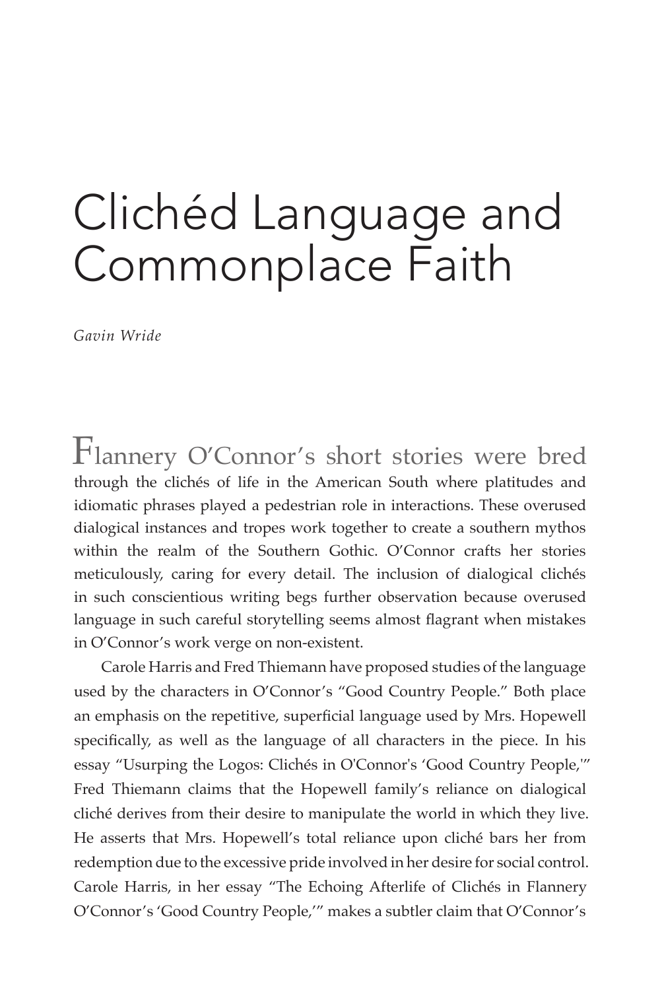# Clichéd Language and Commonplace Faith

*Gavin Wride*

Flannery O'Connor's short stories were bred through the clichés of life in the American South where platitudes and idiomatic phrases played a pedestrian role in interactions. These overused dialogical instances and tropes work together to create a southern mythos within the realm of the Southern Gothic. O'Connor crafts her stories meticulously, caring for every detail. The inclusion of dialogical clichés in such conscientious writing begs further observation because overused language in such careful storytelling seems almost flagrant when mistakes in O'Connor's work verge on non-existent.

Carole Harris and Fred Thiemann have proposed studies of the language used by the characters in O'Connor's "Good Country People." Both place an emphasis on the repetitive, superficial language used by Mrs. Hopewell specifically, as well as the language of all characters in the piece. In his essay "Usurping the Logos: Clichés in O'Connor's 'Good Country People,'" Fred Thiemann claims that the Hopewell family's reliance on dialogical cliché derives from their desire to manipulate the world in which they live. He asserts that Mrs. Hopewell's total reliance upon cliché bars her from redemption due to the excessive pride involved in her desire for social control. Carole Harris, in her essay "The Echoing Afterlife of Clichés in Flannery O'Connor's 'Good Country People,'" makes a subtler claim that O'Connor's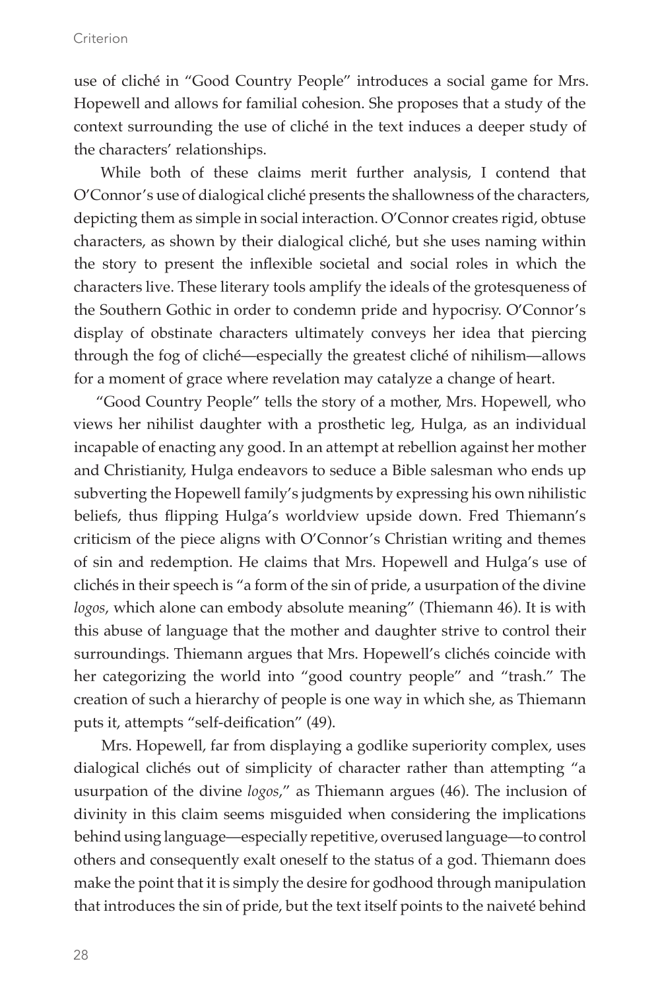#### Criterion

use of cliché in "Good Country People" introduces a social game for Mrs. Hopewell and allows for familial cohesion. She proposes that a study of the context surrounding the use of cliché in the text induces a deeper study of the characters' relationships.

While both of these claims merit further analysis, I contend that O'Connor's use of dialogical cliché presents the shallowness of the characters, depicting them as simple in social interaction. O'Connor creates rigid, obtuse characters, as shown by their dialogical cliché, but she uses naming within the story to present the inflexible societal and social roles in which the characters live. These literary tools amplify the ideals of the grotesqueness of the Southern Gothic in order to condemn pride and hypocrisy. O'Connor's display of obstinate characters ultimately conveys her idea that piercing through the fog of cliché—especially the greatest cliché of nihilism—allows for a moment of grace where revelation may catalyze a change of heart.

"Good Country People" tells the story of a mother, Mrs. Hopewell, who views her nihilist daughter with a prosthetic leg, Hulga, as an individual incapable of enacting any good. In an attempt at rebellion against her mother and Christianity, Hulga endeavors to seduce a Bible salesman who ends up subverting the Hopewell family's judgments by expressing his own nihilistic beliefs, thus flipping Hulga's worldview upside down. Fred Thiemann's criticism of the piece aligns with O'Connor's Christian writing and themes of sin and redemption. He claims that Mrs. Hopewell and Hulga's use of clichés in their speech is "a form of the sin of pride, a usurpation of the divine *logos*, which alone can embody absolute meaning" (Thiemann 46). It is with this abuse of language that the mother and daughter strive to control their surroundings. Thiemann argues that Mrs. Hopewell's clichés coincide with her categorizing the world into "good country people" and "trash." The creation of such a hierarchy of people is one way in which she, as Thiemann puts it, attempts "self-deification" (49).

Mrs. Hopewell, far from displaying a godlike superiority complex, uses dialogical clichés out of simplicity of character rather than attempting "a usurpation of the divine *logos*," as Thiemann argues (46). The inclusion of divinity in this claim seems misguided when considering the implications behind using language—especially repetitive, overused language—to control others and consequently exalt oneself to the status of a god. Thiemann does make the point that it is simply the desire for godhood through manipulation that introduces the sin of pride, but the text itself points to the naiveté behind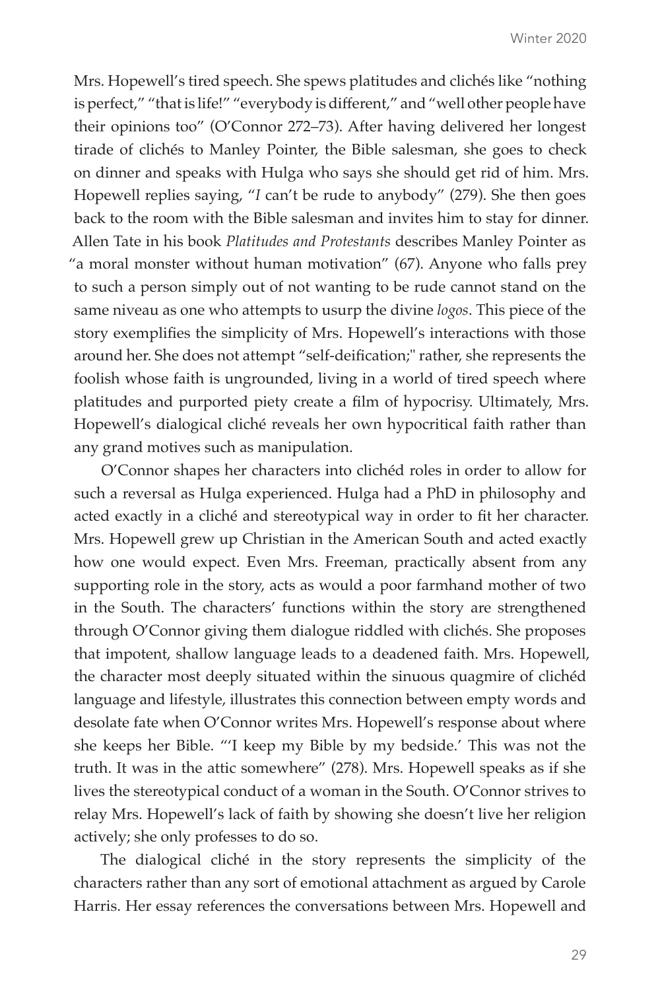Mrs. Hopewell's tired speech. She spews platitudes and clichés like "nothing is perfect," "that is life!" "everybody is different," and "well other people have their opinions too" (O'Connor 272–73). After having delivered her longest tirade of clichés to Manley Pointer, the Bible salesman, she goes to check on dinner and speaks with Hulga who says she should get rid of him. Mrs. Hopewell replies saying, "*I* can't be rude to anybody" (279). She then goes back to the room with the Bible salesman and invites him to stay for dinner. Allen Tate in his book *Platitudes and Protestants* describes Manley Pointer as "a moral monster without human motivation" (67). Anyone who falls prey to such a person simply out of not wanting to be rude cannot stand on the same niveau as one who attempts to usurp the divine *logos*. This piece of the story exemplifies the simplicity of Mrs. Hopewell's interactions with those around her. She does not attempt "self-deification;" rather, she represents the foolish whose faith is ungrounded, living in a world of tired speech where platitudes and purported piety create a film of hypocrisy. Ultimately, Mrs. Hopewell's dialogical cliché reveals her own hypocritical faith rather than any grand motives such as manipulation.

O'Connor shapes her characters into clichéd roles in order to allow for such a reversal as Hulga experienced. Hulga had a PhD in philosophy and acted exactly in a cliché and stereotypical way in order to fit her character. Mrs. Hopewell grew up Christian in the American South and acted exactly how one would expect. Even Mrs. Freeman, practically absent from any supporting role in the story, acts as would a poor farmhand mother of two in the South. The characters' functions within the story are strengthened through O'Connor giving them dialogue riddled with clichés. She proposes that impotent, shallow language leads to a deadened faith. Mrs. Hopewell, the character most deeply situated within the sinuous quagmire of clichéd language and lifestyle, illustrates this connection between empty words and desolate fate when O'Connor writes Mrs. Hopewell's response about where she keeps her Bible. "'I keep my Bible by my bedside.' This was not the truth. It was in the attic somewhere" (278). Mrs. Hopewell speaks as if she lives the stereotypical conduct of a woman in the South. O'Connor strives to relay Mrs. Hopewell's lack of faith by showing she doesn't live her religion actively; she only professes to do so.

The dialogical cliché in the story represents the simplicity of the characters rather than any sort of emotional attachment as argued by Carole Harris. Her essay references the conversations between Mrs. Hopewell and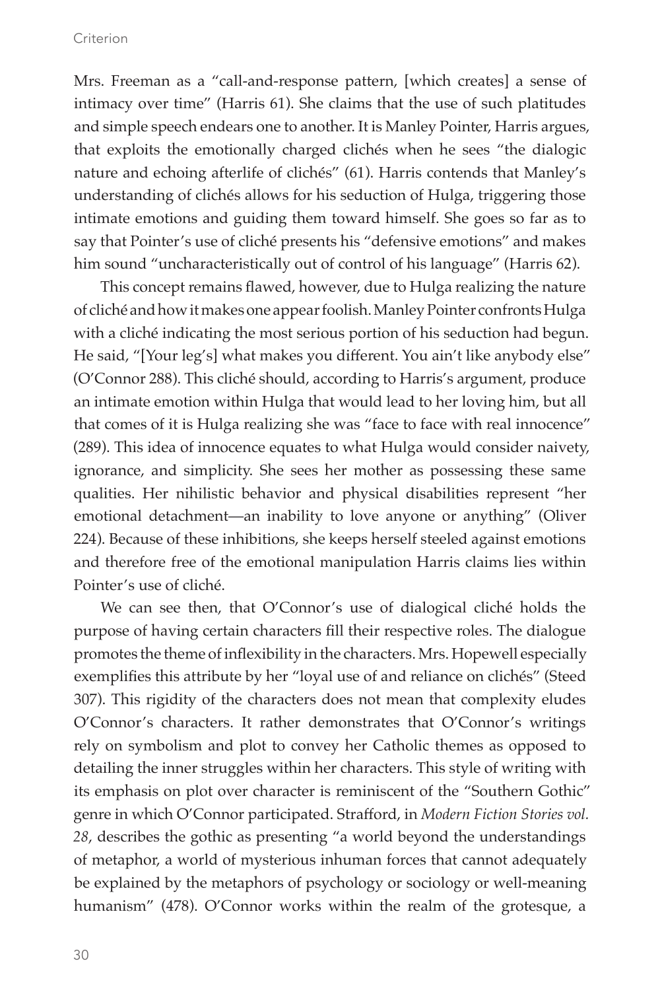Mrs. Freeman as a "call-and-response pattern, [which creates] a sense of intimacy over time" (Harris 61). She claims that the use of such platitudes and simple speech endears one to another. It is Manley Pointer, Harris argues, that exploits the emotionally charged clichés when he sees "the dialogic nature and echoing afterlife of clichés" (61). Harris contends that Manley's understanding of clichés allows for his seduction of Hulga, triggering those intimate emotions and guiding them toward himself. She goes so far as to say that Pointer's use of cliché presents his "defensive emotions" and makes him sound "uncharacteristically out of control of his language" (Harris 62).

This concept remains flawed, however, due to Hulga realizing the nature of cliché and how it makes one appear foolish. Manley Pointer confronts Hulga with a cliché indicating the most serious portion of his seduction had begun. He said, "[Your leg's] what makes you different. You ain't like anybody else" (O'Connor 288). This cliché should, according to Harris's argument, produce an intimate emotion within Hulga that would lead to her loving him, but all that comes of it is Hulga realizing she was "face to face with real innocence" (289). This idea of innocence equates to what Hulga would consider naivety, ignorance, and simplicity. She sees her mother as possessing these same qualities. Her nihilistic behavior and physical disabilities represent "her emotional detachment—an inability to love anyone or anything" (Oliver 224). Because of these inhibitions, she keeps herself steeled against emotions and therefore free of the emotional manipulation Harris claims lies within Pointer's use of cliché.

We can see then, that O'Connor's use of dialogical cliché holds the purpose of having certain characters fill their respective roles. The dialogue promotes the theme of inflexibility in the characters. Mrs. Hopewell especially exemplifies this attribute by her "loyal use of and reliance on clichés" (Steed 307). This rigidity of the characters does not mean that complexity eludes O'Connor's characters. It rather demonstrates that O'Connor's writings rely on symbolism and plot to convey her Catholic themes as opposed to detailing the inner struggles within her characters. This style of writing with its emphasis on plot over character is reminiscent of the "Southern Gothic" genre in which O'Connor participated. Strafford, in *Modern Fiction Stories vol. 28*, describes the gothic as presenting "a world beyond the understandings of metaphor, a world of mysterious inhuman forces that cannot adequately be explained by the metaphors of psychology or sociology or well-meaning humanism" (478). O'Connor works within the realm of the grotesque, a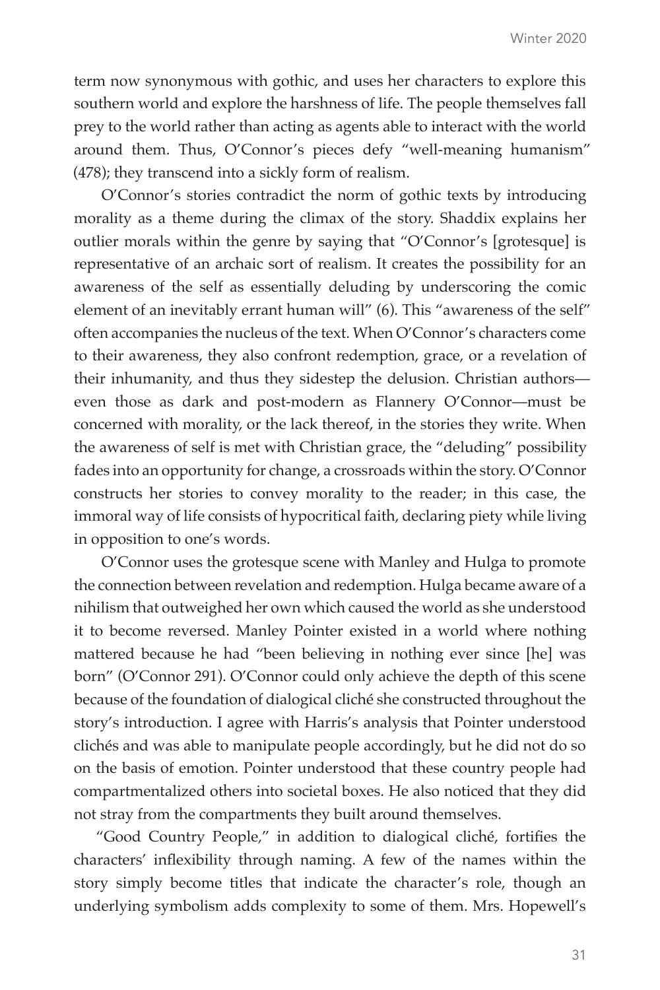term now synonymous with gothic, and uses her characters to explore this southern world and explore the harshness of life. The people themselves fall prey to the world rather than acting as agents able to interact with the world around them. Thus, O'Connor's pieces defy "well-meaning humanism" (478); they transcend into a sickly form of realism.

O'Connor's stories contradict the norm of gothic texts by introducing morality as a theme during the climax of the story. Shaddix explains her outlier morals within the genre by saying that "O'Connor's [grotesque] is representative of an archaic sort of realism. It creates the possibility for an awareness of the self as essentially deluding by underscoring the comic element of an inevitably errant human will" (6). This "awareness of the self" often accompanies the nucleus of the text. When O'Connor's characters come to their awareness, they also confront redemption, grace, or a revelation of their inhumanity, and thus they sidestep the delusion. Christian authors even those as dark and post-modern as Flannery O'Connor—must be concerned with morality, or the lack thereof, in the stories they write. When the awareness of self is met with Christian grace, the "deluding" possibility fades into an opportunity for change, a crossroads within the story. O'Connor constructs her stories to convey morality to the reader; in this case, the immoral way of life consists of hypocritical faith, declaring piety while living in opposition to one's words.

O'Connor uses the grotesque scene with Manley and Hulga to promote the connection between revelation and redemption. Hulga became aware of a nihilism that outweighed her own which caused the world as she understood it to become reversed. Manley Pointer existed in a world where nothing mattered because he had "been believing in nothing ever since [he] was born" (O'Connor 291). O'Connor could only achieve the depth of this scene because of the foundation of dialogical cliché she constructed throughout the story's introduction. I agree with Harris's analysis that Pointer understood clichés and was able to manipulate people accordingly, but he did not do so on the basis of emotion. Pointer understood that these country people had compartmentalized others into societal boxes. He also noticed that they did not stray from the compartments they built around themselves.

"Good Country People," in addition to dialogical cliché, fortifies the characters' inflexibility through naming. A few of the names within the story simply become titles that indicate the character's role, though an underlying symbolism adds complexity to some of them. Mrs. Hopewell's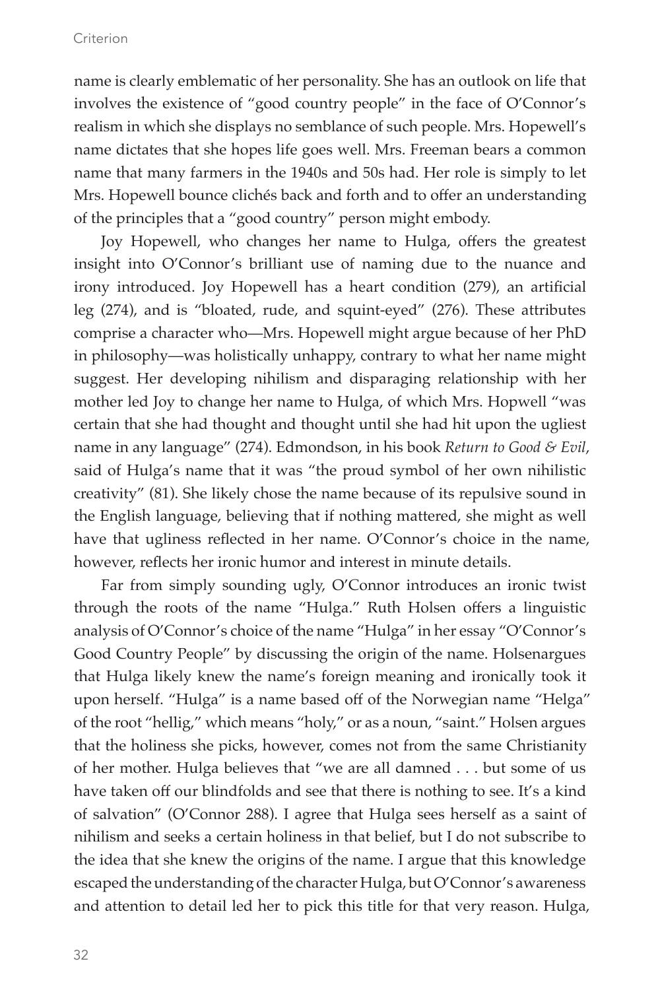### Criterion

name is clearly emblematic of her personality. She has an outlook on life that involves the existence of "good country people" in the face of O'Connor's realism in which she displays no semblance of such people. Mrs. Hopewell's name dictates that she hopes life goes well. Mrs. Freeman bears a common name that many farmers in the 1940s and 50s had. Her role is simply to let Mrs. Hopewell bounce clichés back and forth and to offer an understanding of the principles that a "good country" person might embody.

Joy Hopewell, who changes her name to Hulga, offers the greatest insight into O'Connor's brilliant use of naming due to the nuance and irony introduced. Joy Hopewell has a heart condition (279), an artificial leg (274), and is "bloated, rude, and squint-eyed" (276). These attributes comprise a character who—Mrs. Hopewell might argue because of her PhD in philosophy—was holistically unhappy, contrary to what her name might suggest. Her developing nihilism and disparaging relationship with her mother led Joy to change her name to Hulga, of which Mrs. Hopwell "was certain that she had thought and thought until she had hit upon the ugliest name in any language" (274). Edmondson, in his book *Return to Good & Evil*, said of Hulga's name that it was "the proud symbol of her own nihilistic creativity" (81). She likely chose the name because of its repulsive sound in the English language, believing that if nothing mattered, she might as well have that ugliness reflected in her name. O'Connor's choice in the name, however, reflects her ironic humor and interest in minute details.

Far from simply sounding ugly, O'Connor introduces an ironic twist through the roots of the name "Hulga." Ruth Holsen offers a linguistic analysis of O'Connor's choice of the name "Hulga" in her essay "O'Connor's Good Country People" by discussing the origin of the name. Holsenargues that Hulga likely knew the name's foreign meaning and ironically took it upon herself. "Hulga" is a name based off of the Norwegian name "Helga" of the root "hellig," which means "holy," or as a noun, "saint." Holsen argues that the holiness she picks, however, comes not from the same Christianity of her mother. Hulga believes that "we are all damned . . . but some of us have taken off our blindfolds and see that there is nothing to see. It's a kind of salvation" (O'Connor 288). I agree that Hulga sees herself as a saint of nihilism and seeks a certain holiness in that belief, but I do not subscribe to the idea that she knew the origins of the name. I argue that this knowledge escaped the understanding of the character Hulga, but O'Connor's awareness and attention to detail led her to pick this title for that very reason. Hulga,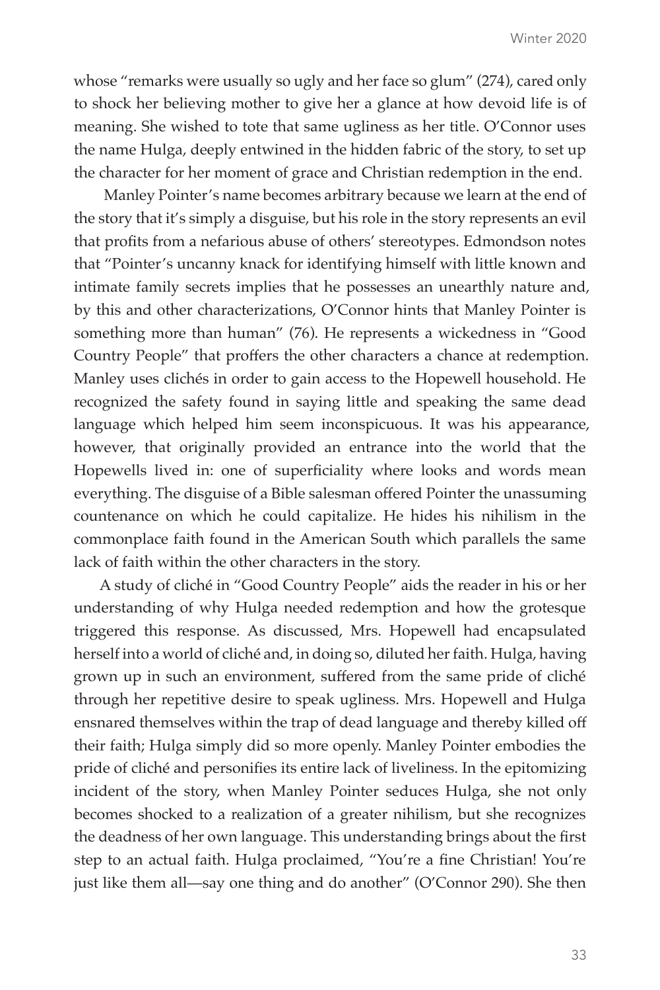whose "remarks were usually so ugly and her face so glum" (274), cared only to shock her believing mother to give her a glance at how devoid life is of meaning. She wished to tote that same ugliness as her title. O'Connor uses the name Hulga, deeply entwined in the hidden fabric of the story, to set up the character for her moment of grace and Christian redemption in the end.

 Manley Pointer's name becomes arbitrary because we learn at the end of the story that it's simply a disguise, but his role in the story represents an evil that profits from a nefarious abuse of others' stereotypes. Edmondson notes that "Pointer's uncanny knack for identifying himself with little known and intimate family secrets implies that he possesses an unearthly nature and, by this and other characterizations, O'Connor hints that Manley Pointer is something more than human" (76). He represents a wickedness in "Good Country People" that proffers the other characters a chance at redemption. Manley uses clichés in order to gain access to the Hopewell household. He recognized the safety found in saying little and speaking the same dead language which helped him seem inconspicuous. It was his appearance, however, that originally provided an entrance into the world that the Hopewells lived in: one of superficiality where looks and words mean everything. The disguise of a Bible salesman offered Pointer the unassuming countenance on which he could capitalize. He hides his nihilism in the commonplace faith found in the American South which parallels the same lack of faith within the other characters in the story.

A study of cliché in "Good Country People" aids the reader in his or her understanding of why Hulga needed redemption and how the grotesque triggered this response. As discussed, Mrs. Hopewell had encapsulated herself into a world of cliché and, in doing so, diluted her faith. Hulga, having grown up in such an environment, suffered from the same pride of cliché through her repetitive desire to speak ugliness. Mrs. Hopewell and Hulga ensnared themselves within the trap of dead language and thereby killed off their faith; Hulga simply did so more openly. Manley Pointer embodies the pride of cliché and personifies its entire lack of liveliness. In the epitomizing incident of the story, when Manley Pointer seduces Hulga, she not only becomes shocked to a realization of a greater nihilism, but she recognizes the deadness of her own language. This understanding brings about the first step to an actual faith. Hulga proclaimed, "You're a fine Christian! You're just like them all—say one thing and do another" (O'Connor 290). She then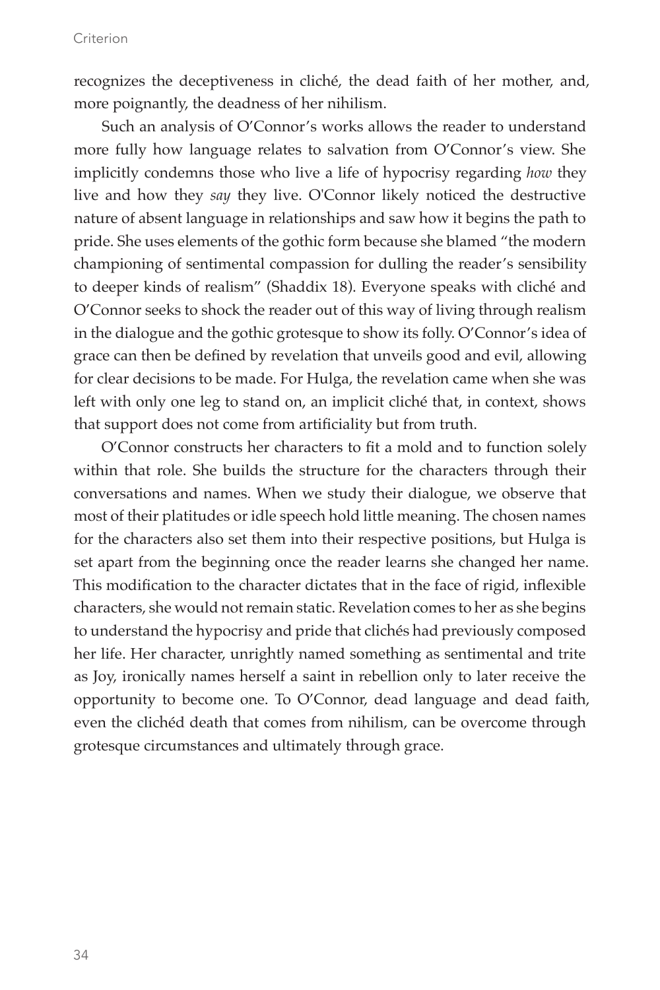recognizes the deceptiveness in cliché, the dead faith of her mother, and, more poignantly, the deadness of her nihilism.

Such an analysis of O'Connor's works allows the reader to understand more fully how language relates to salvation from O'Connor's view. She implicitly condemns those who live a life of hypocrisy regarding *how* they live and how they *say* they live. O'Connor likely noticed the destructive nature of absent language in relationships and saw how it begins the path to pride. She uses elements of the gothic form because she blamed "the modern championing of sentimental compassion for dulling the reader's sensibility to deeper kinds of realism" (Shaddix 18). Everyone speaks with cliché and O'Connor seeks to shock the reader out of this way of living through realism in the dialogue and the gothic grotesque to show its folly. O'Connor's idea of grace can then be defined by revelation that unveils good and evil, allowing for clear decisions to be made. For Hulga, the revelation came when she was left with only one leg to stand on, an implicit cliché that, in context, shows that support does not come from artificiality but from truth.

O'Connor constructs her characters to fit a mold and to function solely within that role. She builds the structure for the characters through their conversations and names. When we study their dialogue, we observe that most of their platitudes or idle speech hold little meaning. The chosen names for the characters also set them into their respective positions, but Hulga is set apart from the beginning once the reader learns she changed her name. This modification to the character dictates that in the face of rigid, inflexible characters, she would not remain static. Revelation comes to her as she begins to understand the hypocrisy and pride that clichés had previously composed her life. Her character, unrightly named something as sentimental and trite as Joy, ironically names herself a saint in rebellion only to later receive the opportunity to become one. To O'Connor, dead language and dead faith, even the clichéd death that comes from nihilism, can be overcome through grotesque circumstances and ultimately through grace.